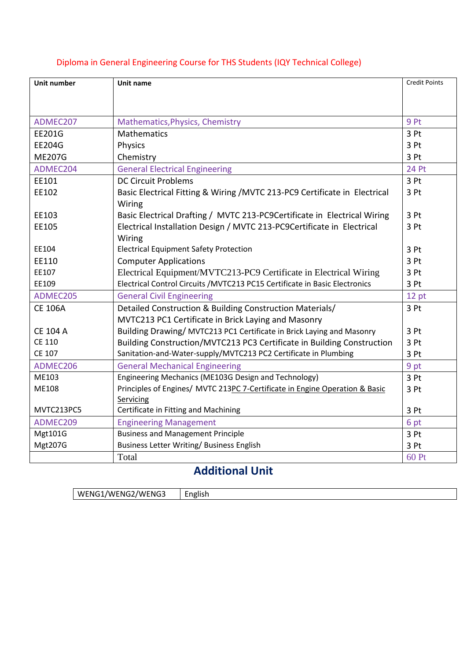| <b>Unit number</b> | Unit name                                                                   | <b>Credit Points</b> |
|--------------------|-----------------------------------------------------------------------------|----------------------|
|                    |                                                                             |                      |
|                    |                                                                             |                      |
| ADMEC207           | Mathematics, Physics, Chemistry                                             | 9 Pt                 |
| EE201G             | Mathematics                                                                 | 3 Pt                 |
| <b>EE204G</b>      | Physics                                                                     | 3 Pt                 |
| <b>ME207G</b>      | Chemistry                                                                   | 3 Pt                 |
| ADMEC204           | <b>General Electrical Engineering</b>                                       | 24 Pt                |
| EE101              | <b>DC Circuit Problems</b>                                                  | 3 Pt                 |
| EE102              | Basic Electrical Fitting & Wiring /MVTC 213-PC9 Certificate in Electrical   | 3 Pt                 |
|                    | Wiring                                                                      |                      |
| EE103              | Basic Electrical Drafting / MVTC 213-PC9Certificate in Electrical Wiring    | 3 Pt                 |
| EE105              | Electrical Installation Design / MVTC 213-PC9Certificate in Electrical      | 3 Pt                 |
|                    | Wiring                                                                      |                      |
| EE104              | <b>Electrical Equipment Safety Protection</b>                               | 3 Pt                 |
| EE110              | <b>Computer Applications</b>                                                | 3 Pt                 |
| EE107              | Electrical Equipment/MVTC213-PC9 Certificate in Electrical Wiring           | 3 Pt                 |
| EE109              | Electrical Control Circuits / MVTC213 PC15 Certificate in Basic Electronics | 3 Pt                 |
| ADMEC205           | <b>General Civil Engineering</b>                                            | 12 pt                |
| <b>CE 106A</b>     | Detailed Construction & Building Construction Materials/                    | 3 Pt                 |
|                    | MVTC213 PC1 Certificate in Brick Laying and Masonry                         |                      |
| <b>CE 104 A</b>    | Building Drawing/ MVTC213 PC1 Certificate in Brick Laying and Masonry       | 3 Pt                 |
| <b>CE 110</b>      | Building Construction/MVTC213 PC3 Certificate in Building Construction      | 3 Pt                 |
| <b>CE 107</b>      | Sanitation-and-Water-supply/MVTC213 PC2 Certificate in Plumbing             | 3 Pt                 |
| ADMEC206           | <b>General Mechanical Engineering</b>                                       | 9 pt                 |
| ME103              | Engineering Mechanics (ME103G Design and Technology)                        | 3 Pt                 |
| ME108              | Principles of Engines/ MVTC 213PC 7-Certificate in Engine Operation & Basic | 3 Pt                 |
|                    | Servicing                                                                   |                      |
| MVTC213PC5         | Certificate in Fitting and Machining                                        | 3 Pt                 |
| ADMEC209           | <b>Engineering Management</b>                                               | 6 pt                 |
| Mgt101G            | <b>Business and Management Principle</b>                                    | 3 Pt                 |
| Mgt207G            | <b>Business Letter Writing/ Business English</b>                            | 3 Pt                 |
|                    | Total                                                                       | 60 Pt                |

## Diploma in General Engineering Course for THS Students (IQY Technical College)

## **Additional Unit**

| WENG1/WENG2/WENG3 | English |
|-------------------|---------|
|-------------------|---------|